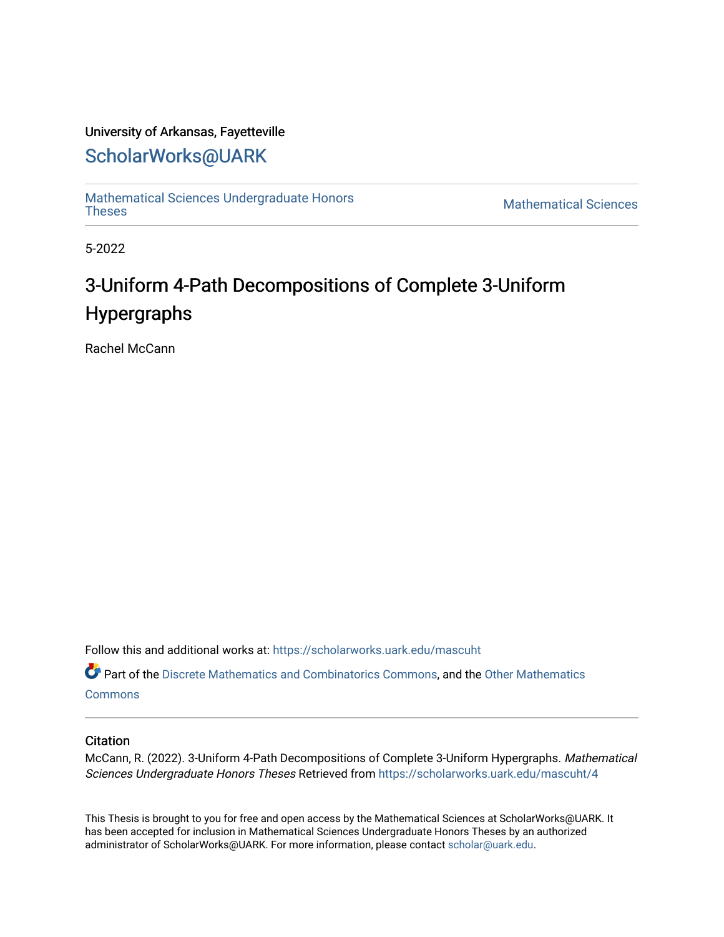#### University of Arkansas, Fayetteville

## [ScholarWorks@UARK](https://scholarworks.uark.edu/)

[Mathematical Sciences Undergraduate Honors](https://scholarworks.uark.edu/mascuht)  [Theses](https://scholarworks.uark.edu/mascuht) [Mathematical Sciences](https://scholarworks.uark.edu/masc) 

5-2022

# 3-Uniform 4-Path Decompositions of Complete 3-Uniform Hypergraphs

Rachel McCann

Follow this and additional works at: [https://scholarworks.uark.edu/mascuht](https://scholarworks.uark.edu/mascuht?utm_source=scholarworks.uark.edu%2Fmascuht%2F4&utm_medium=PDF&utm_campaign=PDFCoverPages)

Part of the [Discrete Mathematics and Combinatorics Commons,](http://network.bepress.com/hgg/discipline/178?utm_source=scholarworks.uark.edu%2Fmascuht%2F4&utm_medium=PDF&utm_campaign=PDFCoverPages) and the [Other Mathematics](http://network.bepress.com/hgg/discipline/185?utm_source=scholarworks.uark.edu%2Fmascuht%2F4&utm_medium=PDF&utm_campaign=PDFCoverPages) **[Commons](http://network.bepress.com/hgg/discipline/185?utm_source=scholarworks.uark.edu%2Fmascuht%2F4&utm_medium=PDF&utm_campaign=PDFCoverPages)** 

#### **Citation**

McCann, R. (2022). 3-Uniform 4-Path Decompositions of Complete 3-Uniform Hypergraphs. Mathematical Sciences Undergraduate Honors Theses Retrieved from [https://scholarworks.uark.edu/mascuht/4](https://scholarworks.uark.edu/mascuht/4?utm_source=scholarworks.uark.edu%2Fmascuht%2F4&utm_medium=PDF&utm_campaign=PDFCoverPages)

This Thesis is brought to you for free and open access by the Mathematical Sciences at ScholarWorks@UARK. It has been accepted for inclusion in Mathematical Sciences Undergraduate Honors Theses by an authorized administrator of ScholarWorks@UARK. For more information, please contact [scholar@uark.edu](mailto:scholar@uark.edu).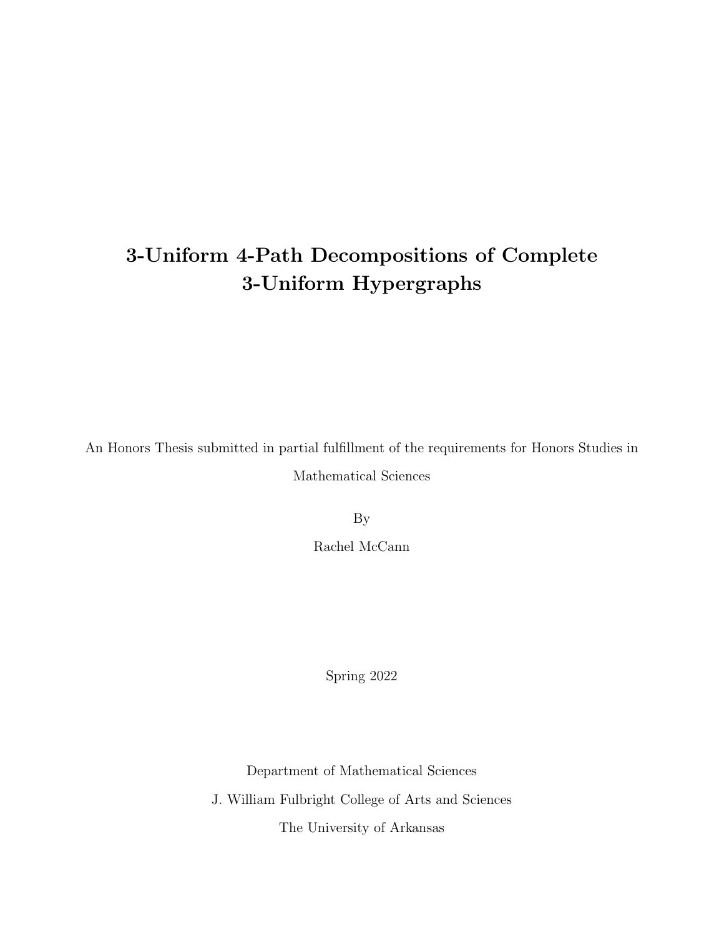# 3-Uniform 4-Path Decompositions of Complete 3-Uniform Hypergraphs

An Honors Thesis submitted in partial fulfillment of the requirements for Honors Studies in Mathematical Sciences

By

Rachel McCann

Spring 2022

Department of Mathematical Sciences

J. William Fulbright College of Arts and Sciences

The University of Arkansas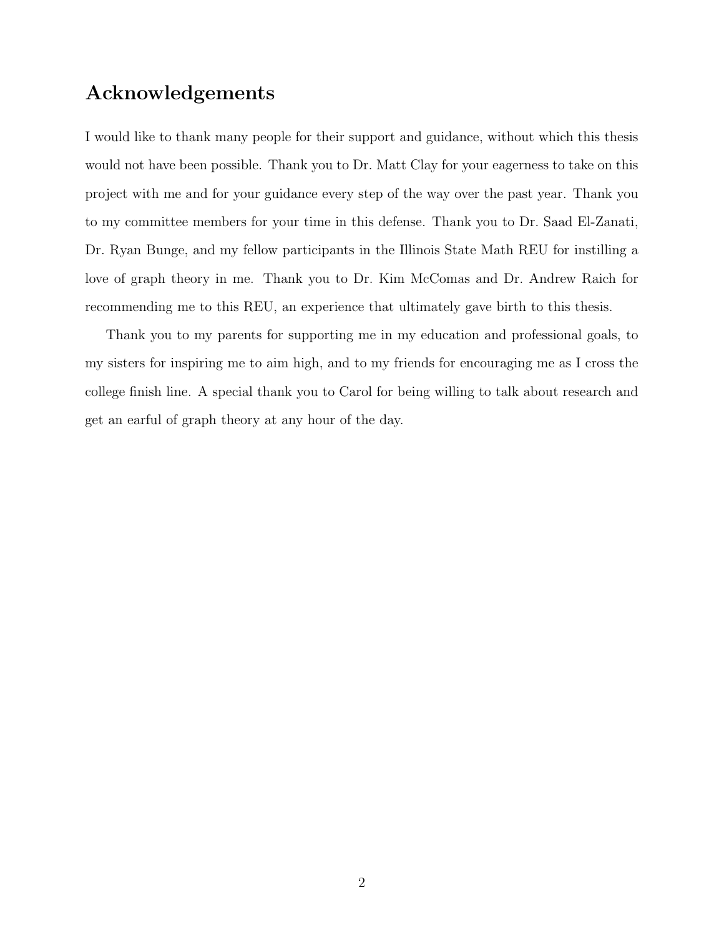## Acknowledgements

I would like to thank many people for their support and guidance, without which this thesis would not have been possible. Thank you to Dr. Matt Clay for your eagerness to take on this project with me and for your guidance every step of the way over the past year. Thank you to my committee members for your time in this defense. Thank you to Dr. Saad El-Zanati, Dr. Ryan Bunge, and my fellow participants in the Illinois State Math REU for instilling a love of graph theory in me. Thank you to Dr. Kim McComas and Dr. Andrew Raich for recommending me to this REU, an experience that ultimately gave birth to this thesis.

Thank you to my parents for supporting me in my education and professional goals, to my sisters for inspiring me to aim high, and to my friends for encouraging me as I cross the college finish line. A special thank you to Carol for being willing to talk about research and get an earful of graph theory at any hour of the day.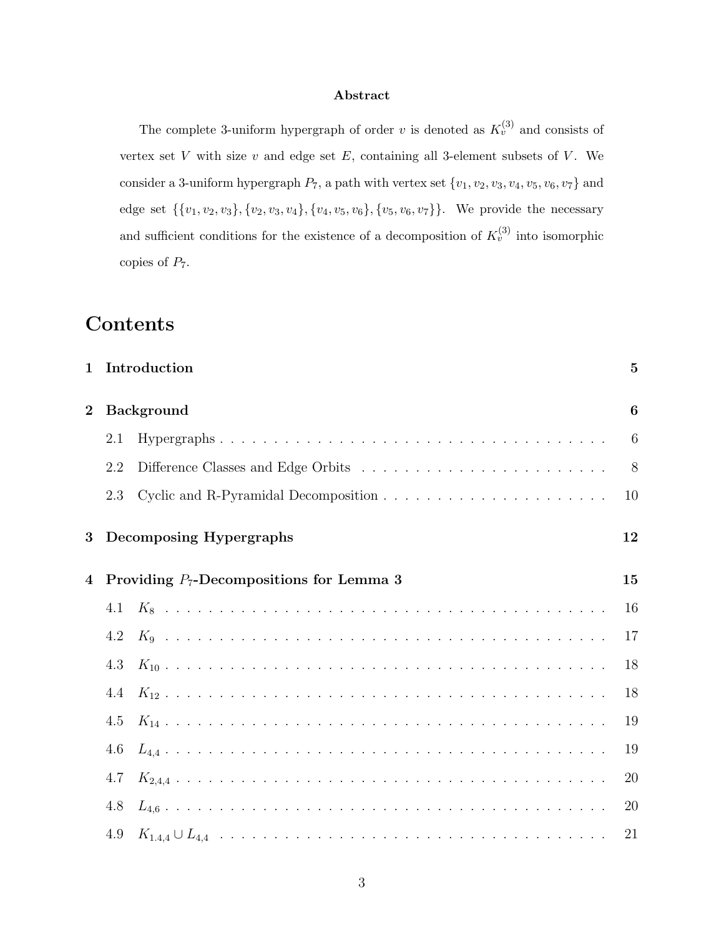#### Abstract

The complete 3-uniform hypergraph of order v is denoted as  $K_v^{(3)}$  and consists of vertex set  $V$  with size  $v$  and edge set  $E$ , containing all 3-element subsets of  $V$ . We consider a 3-uniform hypergraph  $P_7$ , a path with vertex set  $\{v_1, v_2, v_3, v_4, v_5, v_6, v_7\}$  and edge set  $\{\{v_1, v_2, v_3\}, \{v_2, v_3, v_4\}, \{v_4, v_5, v_6\}, \{v_5, v_6, v_7\}\}\.$  We provide the necessary and sufficient conditions for the existence of a decomposition of  $K_v^{(3)}$  into isomorphic copies of  $P_7$ .

## Contents

| $\mathbf{1}$   |                                             | Introduction            | $\overline{5}$ |
|----------------|---------------------------------------------|-------------------------|----------------|
| $\bf{2}$       | <b>Background</b>                           |                         | 6              |
|                | 2.1                                         |                         | 6              |
|                | 2.2                                         |                         | 8              |
|                | 2.3                                         |                         | 10             |
| 3              |                                             | Decomposing Hypergraphs | 12             |
| $\overline{4}$ | Providing $P_7$ -Decompositions for Lemma 3 |                         |                |
|                | 4.1                                         |                         | 16             |
|                | 4.2                                         |                         | 17             |
|                | 4.3                                         |                         | 18             |
|                | 4.4                                         |                         | 18             |
|                | 4.5                                         |                         | 19             |
|                | 4.6                                         |                         | 19             |
|                | 4.7                                         |                         | 20             |
|                | 4.8                                         |                         | 20             |
|                | 4.9                                         |                         | 21             |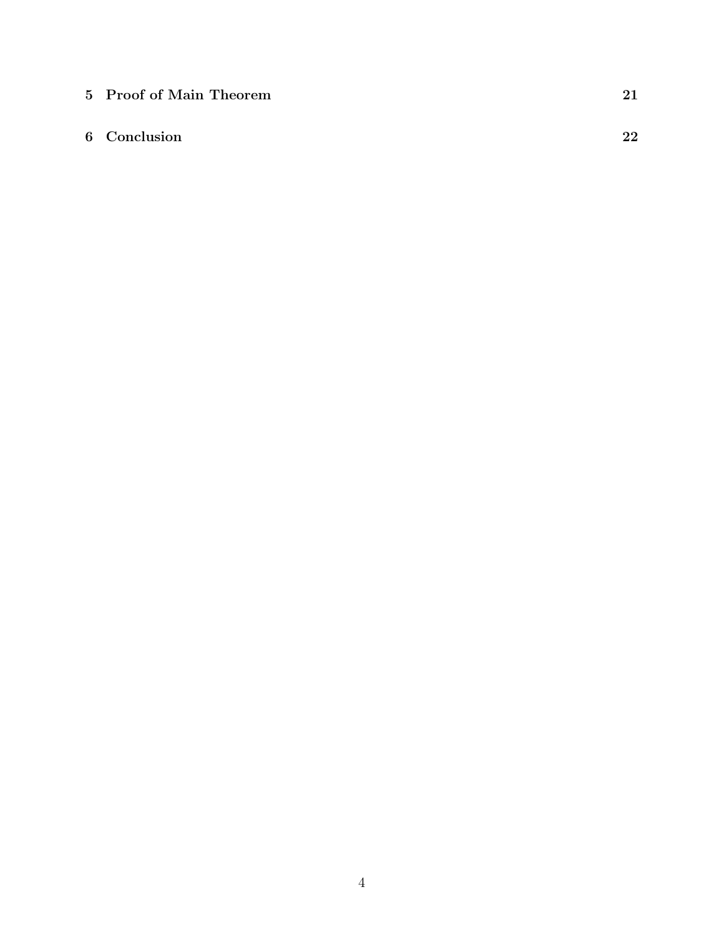5 Proof of Main Theorem 21

#### 6 Conclusion 22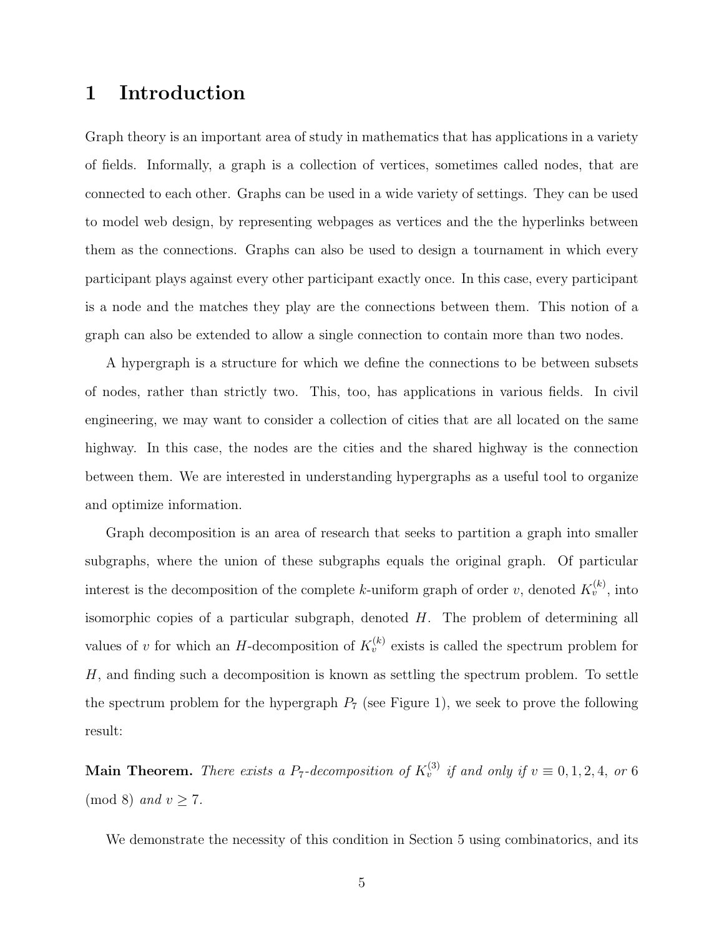## 1 Introduction

Graph theory is an important area of study in mathematics that has applications in a variety of fields. Informally, a graph is a collection of vertices, sometimes called nodes, that are connected to each other. Graphs can be used in a wide variety of settings. They can be used to model web design, by representing webpages as vertices and the the hyperlinks between them as the connections. Graphs can also be used to design a tournament in which every participant plays against every other participant exactly once. In this case, every participant is a node and the matches they play are the connections between them. This notion of a graph can also be extended to allow a single connection to contain more than two nodes.

A hypergraph is a structure for which we define the connections to be between subsets of nodes, rather than strictly two. This, too, has applications in various fields. In civil engineering, we may want to consider a collection of cities that are all located on the same highway. In this case, the nodes are the cities and the shared highway is the connection between them. We are interested in understanding hypergraphs as a useful tool to organize and optimize information.

Graph decomposition is an area of research that seeks to partition a graph into smaller subgraphs, where the union of these subgraphs equals the original graph. Of particular interest is the decomposition of the complete k-uniform graph of order v, denoted  $K_v^{(k)}$ , into isomorphic copies of a particular subgraph, denoted  $H$ . The problem of determining all values of v for which an H-decomposition of  $K_v^{(k)}$  exists is called the spectrum problem for H, and finding such a decomposition is known as settling the spectrum problem. To settle the spectrum problem for the hypergraph  $P_7$  (see Figure 1), we seek to prove the following result:

**Main Theorem.** There exists a P<sub>7</sub>-decomposition of  $K_v^{(3)}$  if and only if  $v \equiv 0, 1, 2, 4$ , or 6  $\pmod{8}$  and  $v \geq 7$ .

We demonstrate the necessity of this condition in Section 5 using combinatorics, and its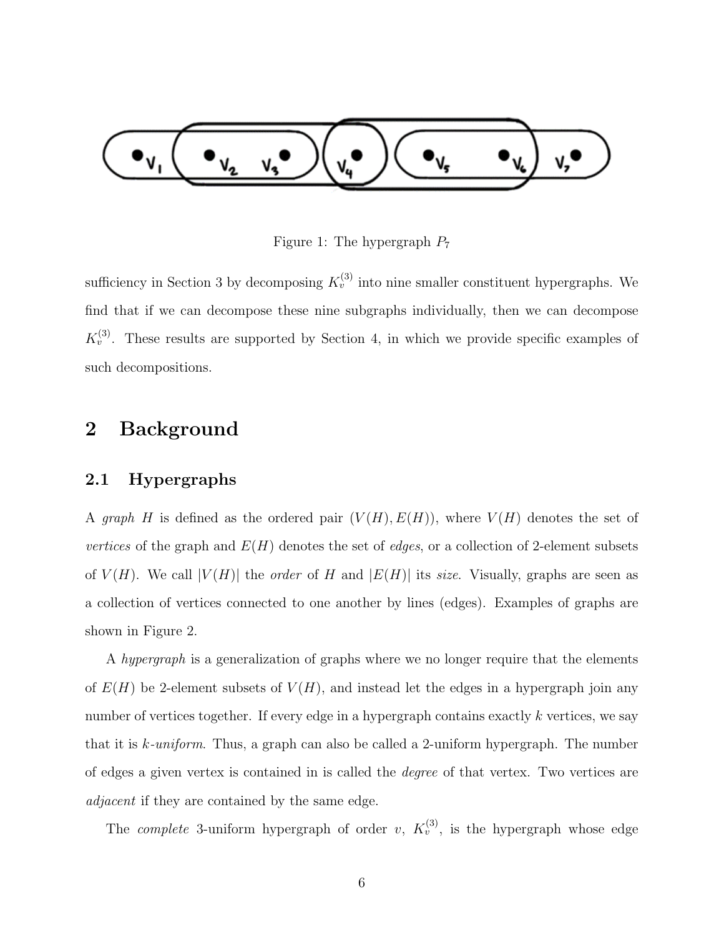

Figure 1: The hypergraph  $P_7$ 

sufficiency in Section 3 by decomposing  $K_v^{(3)}$  into nine smaller constituent hypergraphs. We find that if we can decompose these nine subgraphs individually, then we can decompose  $K_v^{(3)}$ . These results are supported by Section 4, in which we provide specific examples of such decompositions.

### 2 Background

#### 2.1 Hypergraphs

A graph H is defined as the ordered pair  $(V(H), E(H))$ , where  $V(H)$  denotes the set of vertices of the graph and  $E(H)$  denotes the set of *edges*, or a collection of 2-element subsets of  $V(H)$ . We call  $|V(H)|$  the *order* of H and  $|E(H)|$  its *size*. Visually, graphs are seen as a collection of vertices connected to one another by lines (edges). Examples of graphs are shown in Figure 2.

A hypergraph is a generalization of graphs where we no longer require that the elements of  $E(H)$  be 2-element subsets of  $V(H)$ , and instead let the edges in a hypergraph join any number of vertices together. If every edge in a hypergraph contains exactly k vertices, we say that it is k-uniform. Thus, a graph can also be called a 2-uniform hypergraph. The number of edges a given vertex is contained in is called the degree of that vertex. Two vertices are adjacent if they are contained by the same edge.

The *complete* 3-uniform hypergraph of order v,  $K_v^{(3)}$ , is the hypergraph whose edge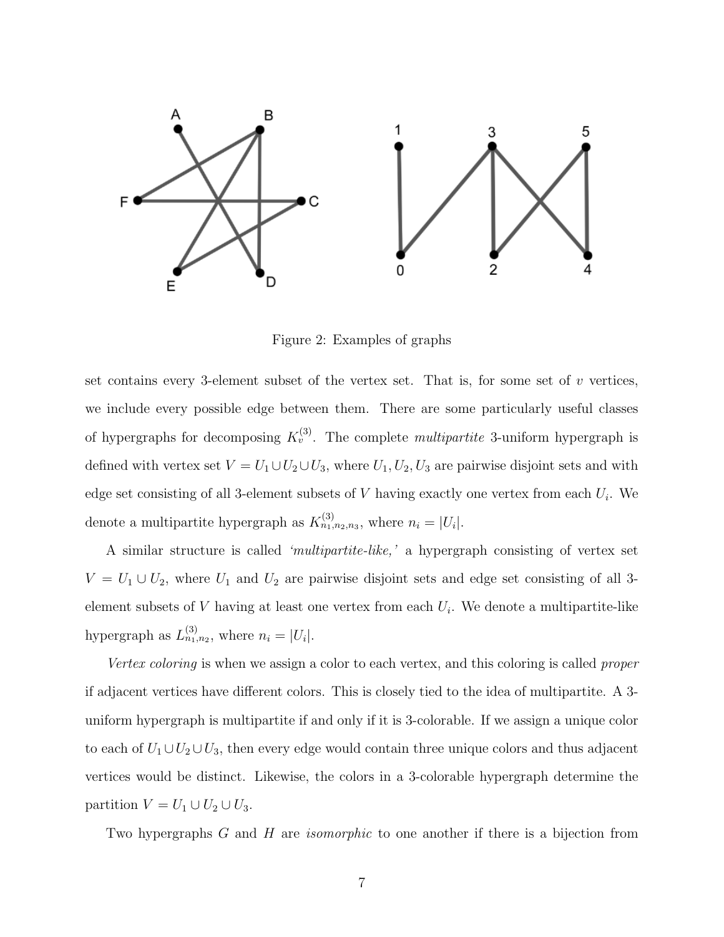

Figure 2: Examples of graphs

set contains every 3-element subset of the vertex set. That is, for some set of  $v$  vertices, we include every possible edge between them. There are some particularly useful classes of hypergraphs for decomposing  $K_v^{(3)}$ . The complete *multipartite* 3-uniform hypergraph is defined with vertex set  $V = U_1 \cup U_2 \cup U_3$ , where  $U_1, U_2, U_3$  are pairwise disjoint sets and with edge set consisting of all 3-element subsets of  $V$  having exactly one vertex from each  $U_i$ . We denote a multipartite hypergraph as  $K_{n_1,n_2,n_3}^{(3)}$ , where  $n_i = |U_i|$ .

A similar structure is called 'multipartite-like,' a hypergraph consisting of vertex set  $V = U_1 \cup U_2$ , where  $U_1$  and  $U_2$  are pairwise disjoint sets and edge set consisting of all 3element subsets of  $V$  having at least one vertex from each  $U_i$ . We denote a multipartite-like hypergraph as  $L_{n_1,n_2}^{(3)}$ , where  $n_i = |U_i|$ .

Vertex coloring is when we assign a color to each vertex, and this coloring is called proper if adjacent vertices have different colors. This is closely tied to the idea of multipartite. A 3 uniform hypergraph is multipartite if and only if it is 3-colorable. If we assign a unique color to each of  $U_1 \cup U_2 \cup U_3$ , then every edge would contain three unique colors and thus adjacent vertices would be distinct. Likewise, the colors in a 3-colorable hypergraph determine the partition  $V = U_1 \cup U_2 \cup U_3$ .

Two hypergraphs G and H are *isomorphic* to one another if there is a bijection from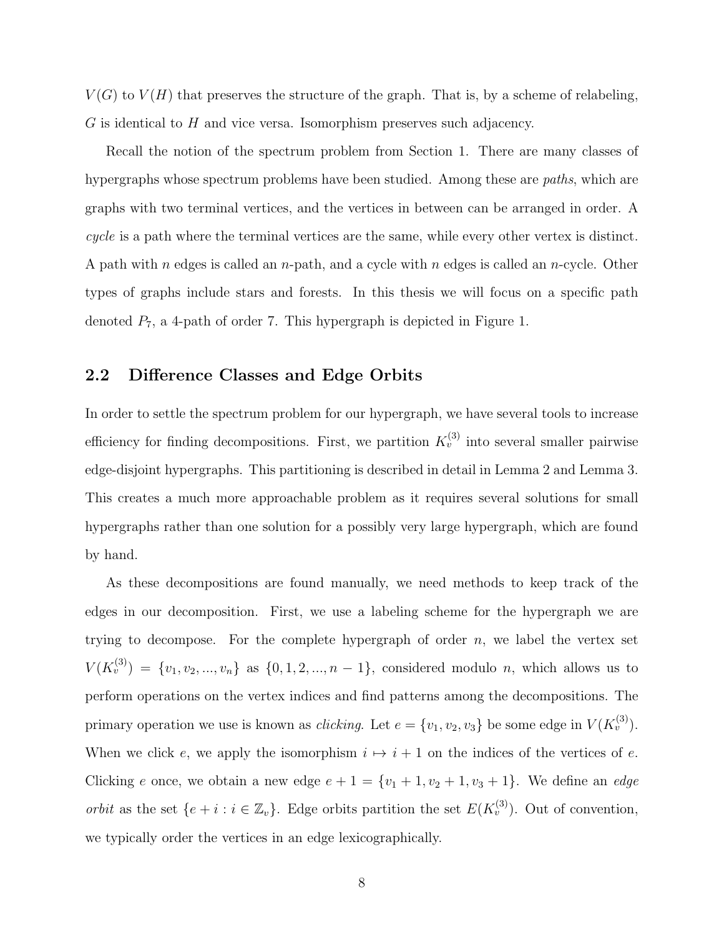$V(G)$  to  $V(H)$  that preserves the structure of the graph. That is, by a scheme of relabeling,  $G$  is identical to  $H$  and vice versa. Isomorphism preserves such adjacency.

Recall the notion of the spectrum problem from Section 1. There are many classes of hypergraphs whose spectrum problems have been studied. Among these are *paths*, which are graphs with two terminal vertices, and the vertices in between can be arranged in order. A cycle is a path where the terminal vertices are the same, while every other vertex is distinct. A path with n edges is called an n-path, and a cycle with n edges is called an n-cycle. Other types of graphs include stars and forests. In this thesis we will focus on a specific path denoted  $P_7$ , a 4-path of order 7. This hypergraph is depicted in Figure 1.

#### 2.2 Difference Classes and Edge Orbits

In order to settle the spectrum problem for our hypergraph, we have several tools to increase efficiency for finding decompositions. First, we partition  $K_v^{(3)}$  into several smaller pairwise edge-disjoint hypergraphs. This partitioning is described in detail in Lemma 2 and Lemma 3. This creates a much more approachable problem as it requires several solutions for small hypergraphs rather than one solution for a possibly very large hypergraph, which are found by hand.

As these decompositions are found manually, we need methods to keep track of the edges in our decomposition. First, we use a labeling scheme for the hypergraph we are trying to decompose. For the complete hypergraph of order  $n$ , we label the vertex set  $V(K_v^{(3)}) = \{v_1, v_2, ..., v_n\}$  as  $\{0, 1, 2, ..., n-1\}$ , considered modulo n, which allows us to perform operations on the vertex indices and find patterns among the decompositions. The primary operation we use is known as *clicking*. Let  $e = \{v_1, v_2, v_3\}$  be some edge in  $V(K_v^{(3)})$ . When we click e, we apply the isomorphism  $i \mapsto i + 1$  on the indices of the vertices of e. Clicking e once, we obtain a new edge  $e + 1 = \{v_1 + 1, v_2 + 1, v_3 + 1\}$ . We define an *edge orbit* as the set  $\{e + i : i \in \mathbb{Z}_v\}$ . Edge orbits partition the set  $E(K_v^{(3)})$ . Out of convention, we typically order the vertices in an edge lexicographically.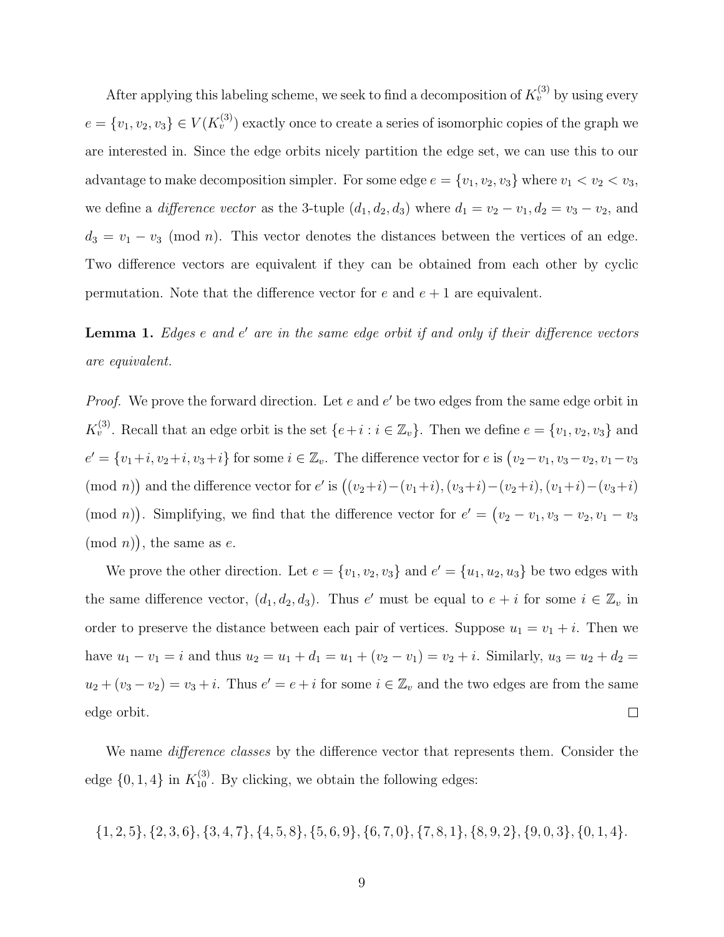After applying this labeling scheme, we seek to find a decomposition of  $K_v^{(3)}$  by using every  $e = \{v_1, v_2, v_3\} \in V(K_v^{(3)})$  exactly once to create a series of isomorphic copies of the graph we are interested in. Since the edge orbits nicely partition the edge set, we can use this to our advantage to make decomposition simpler. For some edge  $e = \{v_1, v_2, v_3\}$  where  $v_1 < v_2 < v_3$ , we define a *difference vector* as the 3-tuple  $(d_1, d_2, d_3)$  where  $d_1 = v_2 - v_1, d_2 = v_3 - v_2$ , and  $d_3 = v_1 - v_3 \pmod{n}$ . This vector denotes the distances between the vertices of an edge. Two difference vectors are equivalent if they can be obtained from each other by cyclic permutation. Note that the difference vector for e and  $e + 1$  are equivalent.

Lemma 1. Edges e and e' are in the same edge orbit if and only if their difference vectors are equivalent.

*Proof.* We prove the forward direction. Let  $e$  and  $e'$  be two edges from the same edge orbit in  $K_v^{(3)}$ . Recall that an edge orbit is the set  $\{e+i : i \in \mathbb{Z}_v\}$ . Then we define  $e = \{v_1, v_2, v_3\}$  and  $e' = \{v_1+i, v_2+i, v_3+i\}$  for some  $i \in \mathbb{Z}_v$ . The difference vector for  $e$  is  $(v_2-v_1, v_3-v_2, v_1-v_3)$ (mod n)) and the difference vector for e' is  $((v_2+i)-(v_1+i),(v_3+i)-(v_2+i),(v_1+i)-(v_3+i)$ (mod *n*)). Simplifying, we find that the difference vector for  $e' = (v_2 - v_1, v_3 - v_2, v_1 - v_3)$  $(mod n)$ , the same as e.

We prove the other direction. Let  $e = \{v_1, v_2, v_3\}$  and  $e' = \{u_1, u_2, u_3\}$  be two edges with the same difference vector,  $(d_1, d_2, d_3)$ . Thus e' must be equal to  $e + i$  for some  $i \in \mathbb{Z}_v$  in order to preserve the distance between each pair of vertices. Suppose  $u_1 = v_1 + i$ . Then we have  $u_1 - v_1 = i$  and thus  $u_2 = u_1 + d_1 = u_1 + (v_2 - v_1) = v_2 + i$ . Similarly,  $u_3 = u_2 + d_2 =$  $u_2 + (v_3 - v_2) = v_3 + i$ . Thus  $e' = e + i$  for some  $i \in \mathbb{Z}_v$  and the two edges are from the same edge orbit.  $\Box$ 

We name *difference classes* by the difference vector that represents them. Consider the edge  $\{0, 1, 4\}$  in  $K_{10}^{(3)}$ . By clicking, we obtain the following edges:

$$
\{1,2,5\},\{2,3,6\},\{3,4,7\},\{4,5,8\},\{5,6,9\},\{6,7,0\},\{7,8,1\},\{8,9,2\},\{9,0,3\},\{0,1,4\}.
$$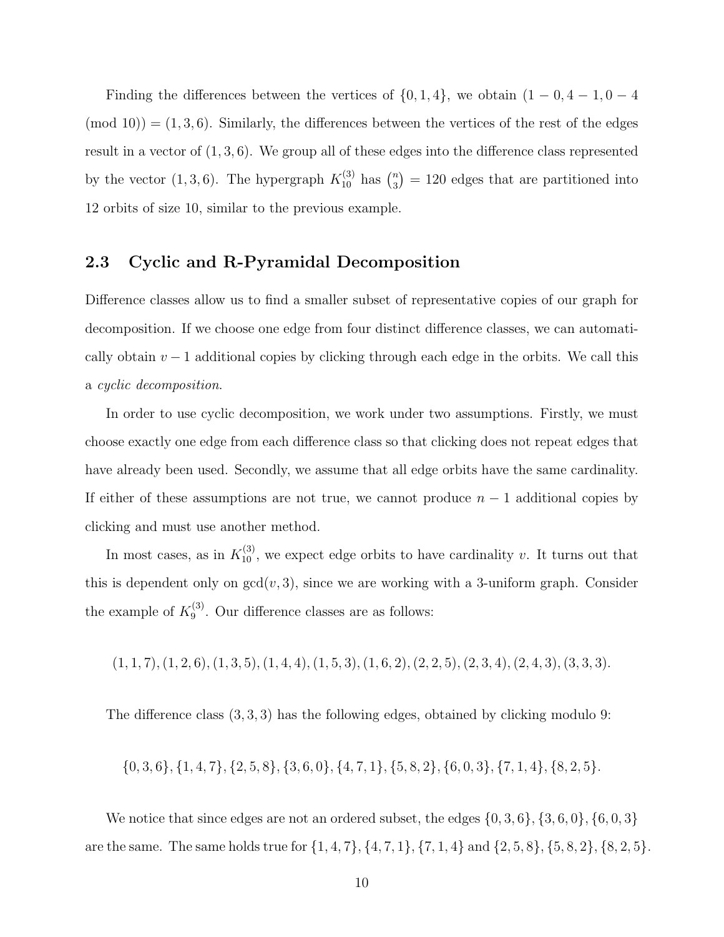Finding the differences between the vertices of  $\{0, 1, 4\}$ , we obtain  $(1 - 0, 4 - 1, 0 - 4)$  $(\text{mod } 10)$  =  $(1, 3, 6)$ . Similarly, the differences between the vertices of the rest of the edges result in a vector of  $(1, 3, 6)$ . We group all of these edges into the difference class represented by the vector  $(1,3,6)$ . The hypergraph  $K_{10}^{(3)}$  has  $\binom{n}{3}$  $\binom{n}{3} = 120$  edges that are partitioned into 12 orbits of size 10, similar to the previous example.

#### 2.3 Cyclic and R-Pyramidal Decomposition

Difference classes allow us to find a smaller subset of representative copies of our graph for decomposition. If we choose one edge from four distinct difference classes, we can automatically obtain  $v - 1$  additional copies by clicking through each edge in the orbits. We call this a cyclic decomposition.

In order to use cyclic decomposition, we work under two assumptions. Firstly, we must choose exactly one edge from each difference class so that clicking does not repeat edges that have already been used. Secondly, we assume that all edge orbits have the same cardinality. If either of these assumptions are not true, we cannot produce  $n-1$  additional copies by clicking and must use another method.

In most cases, as in  $K_{10}^{(3)}$ , we expect edge orbits to have cardinality v. It turns out that this is dependent only on  $gcd(v, 3)$ , since we are working with a 3-uniform graph. Consider the example of  $K_9^{(3)}$  $_{9}^{(3)}$ . Our difference classes are as follows:

 $(1, 1, 7), (1, 2, 6), (1, 3, 5), (1, 4, 4), (1, 5, 3), (1, 6, 2), (2, 2, 5), (2, 3, 4), (2, 4, 3), (3, 3, 3).$ 

The difference class (3, 3, 3) has the following edges, obtained by clicking modulo 9:

$$
\{0,3,6\}, \{1,4,7\}, \{2,5,8\}, \{3,6,0\}, \{4,7,1\}, \{5,8,2\}, \{6,0,3\}, \{7,1,4\}, \{8,2,5\}.
$$

We notice that since edges are not an ordered subset, the edges  $\{0, 3, 6\}$ ,  $\{3, 6, 0\}$ ,  $\{6, 0, 3\}$ are the same. The same holds true for  $\{1, 4, 7\}$ ,  $\{4, 7, 1\}$ ,  $\{7, 1, 4\}$  and  $\{2, 5, 8\}$ ,  $\{5, 8, 2\}$ ,  $\{8, 2, 5\}$ .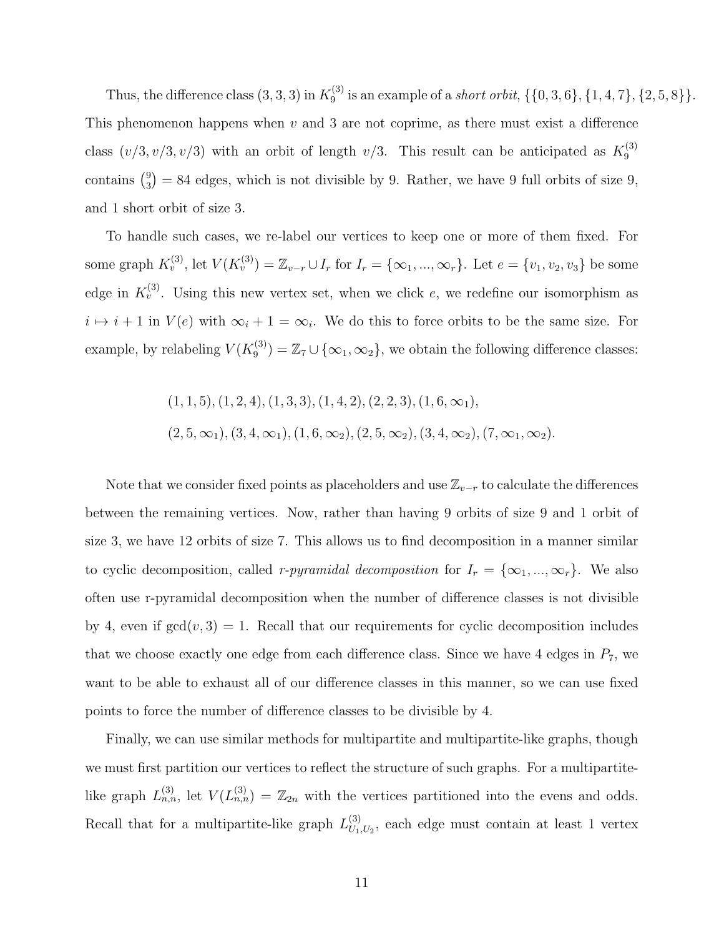Thus, the difference class  $(3,3,3)$  in  $K_9^{(3)}$  $S_9^{(3)}$  is an example of a *short orbit*,  $\{\{0,3,6\}, \{1,4,7\}, \{2,5,8\}\}.$ This phenomenon happens when  $v$  and 3 are not coprime, as there must exist a difference class  $(v/3, v/3, v/3)$  with an orbit of length  $v/3$ . This result can be anticipated as  $K_9^{(3)}$ 9  $\frac{1}{3}$  $_3^9$  = 84 edges, which is not divisible by 9. Rather, we have 9 full orbits of size 9, and 1 short orbit of size 3.

To handle such cases, we re-label our vertices to keep one or more of them fixed. For some graph  $K_v^{(3)}$ , let  $V(K_v^{(3)}) = \mathbb{Z}_{v-r} \cup I_r$  for  $I_r = \{\infty_1, ..., \infty_r\}$ . Let  $e = \{v_1, v_2, v_3\}$  be some edge in  $K_v^{(3)}$ . Using this new vertex set, when we click e, we redefine our isomorphism as  $i \mapsto i + 1$  in  $V(e)$  with  $\infty_i + 1 = \infty_i$ . We do this to force orbits to be the same size. For example, by relabeling  $V(K_9^{(3)})$  $\mathbb{Z}_9^{(3)}$  =  $\mathbb{Z}_7 \cup {\infty_1, \infty_2}$ , we obtain the following difference classes:

$$
(1, 1, 5), (1, 2, 4), (1, 3, 3), (1, 4, 2), (2, 2, 3), (1, 6, \infty_1),
$$
  

$$
(2, 5, \infty_1), (3, 4, \infty_1), (1, 6, \infty_2), (2, 5, \infty_2), (3, 4, \infty_2), (7, \infty_1, \infty_2).
$$

Note that we consider fixed points as placeholders and use  $\mathbb{Z}_{v-r}$  to calculate the differences between the remaining vertices. Now, rather than having 9 orbits of size 9 and 1 orbit of size 3, we have 12 orbits of size 7. This allows us to find decomposition in a manner similar to cyclic decomposition, called r-pyramidal decomposition for  $I_r = {\infty_1, ..., \infty_r}$ . We also often use r-pyramidal decomposition when the number of difference classes is not divisible by 4, even if  $gcd(v, 3) = 1$ . Recall that our requirements for cyclic decomposition includes that we choose exactly one edge from each difference class. Since we have 4 edges in  $P_7$ , we want to be able to exhaust all of our difference classes in this manner, so we can use fixed points to force the number of difference classes to be divisible by 4.

Finally, we can use similar methods for multipartite and multipartite-like graphs, though we must first partition our vertices to reflect the structure of such graphs. For a multipartitelike graph  $L_{n,n}^{(3)}$ , let  $V(L_{n,n}^{(3)}) = \mathbb{Z}_{2n}$  with the vertices partitioned into the evens and odds. Recall that for a multipartite-like graph  $L_{U_1}^{(3)}$  $U_{U_1,U_2}^{(3)}$ , each edge must contain at least 1 vertex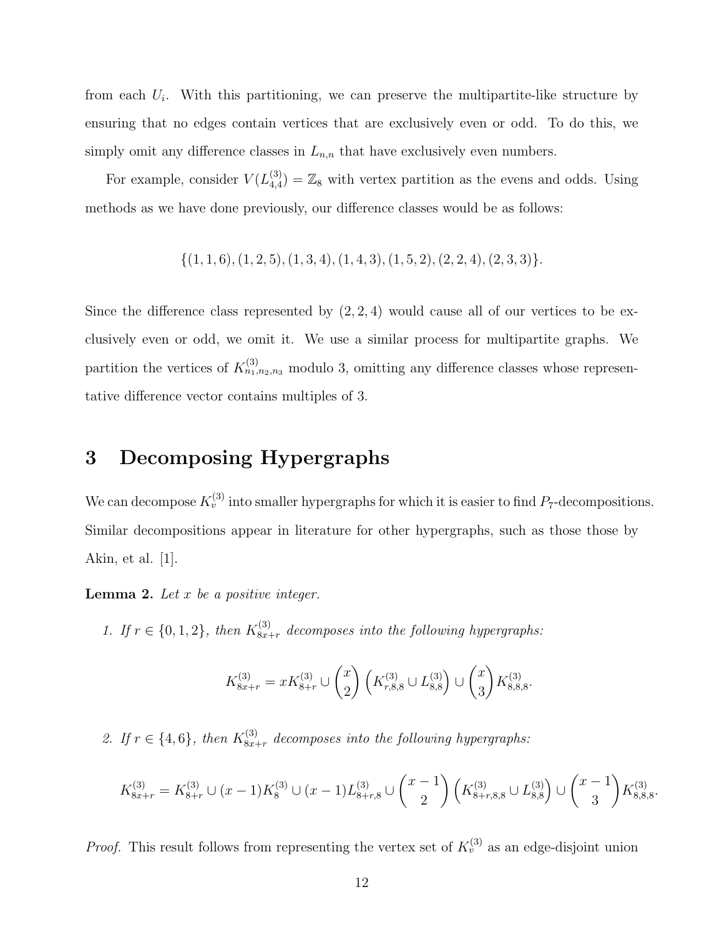from each  $U_i$ . With this partitioning, we can preserve the multipartite-like structure by ensuring that no edges contain vertices that are exclusively even or odd. To do this, we simply omit any difference classes in  $L_{n,n}$  that have exclusively even numbers.

For example, consider  $V(L_{4,4}^{(3)})$  $\binom{3}{4,4} = \mathbb{Z}_8$  with vertex partition as the evens and odds. Using methods as we have done previously, our difference classes would be as follows:

$$
\{(1,1,6), (1,2,5), (1,3,4), (1,4,3), (1,5,2), (2,2,4), (2,3,3)\}.
$$

Since the difference class represented by  $(2, 2, 4)$  would cause all of our vertices to be exclusively even or odd, we omit it. We use a similar process for multipartite graphs. We partition the vertices of  $K_{n_1,n_2,n_3}^{(3)}$  modulo 3, omitting any difference classes whose representative difference vector contains multiples of 3.

## 3 Decomposing Hypergraphs

We can decompose  $K_v^{(3)}$  into smaller hypergraphs for which it is easier to find  $P_7$ -decompositions. Similar decompositions appear in literature for other hypergraphs, such as those those by Akin, et al. [1].

**Lemma 2.** Let  $x$  be a positive integer.

1. If  $r \in \{0, 1, 2\}$ , then  $K_{8x+r}^{(3)}$  decomposes into the following hypergraphs:

$$
K_{8x+r}^{(3)} = xK_{8+r}^{(3)} \cup {x \choose 2} \left(K_{r,8,8}^{(3)} \cup L_{8,8}^{(3)}\right) \cup {x \choose 3} K_{8,8,8}^{(3)}.
$$

2. If  $r \in \{4, 6\}$ , then  $K_{8x+r}^{(3)}$  decomposes into the following hypergraphs:

$$
K_{8x+r}^{(3)} = K_{8+r}^{(3)} \cup (x-1)K_8^{(3)} \cup (x-1)L_{8+r,8}^{(3)} \cup {x-1 \choose 2} \left(K_{8+r,8,8}^{(3)} \cup L_{8,8}^{(3)}\right) \cup {x-1 \choose 3} K_{8,8,8}^{(3)}.
$$

*Proof.* This result follows from representing the vertex set of  $K_v^{(3)}$  as an edge-disjoint union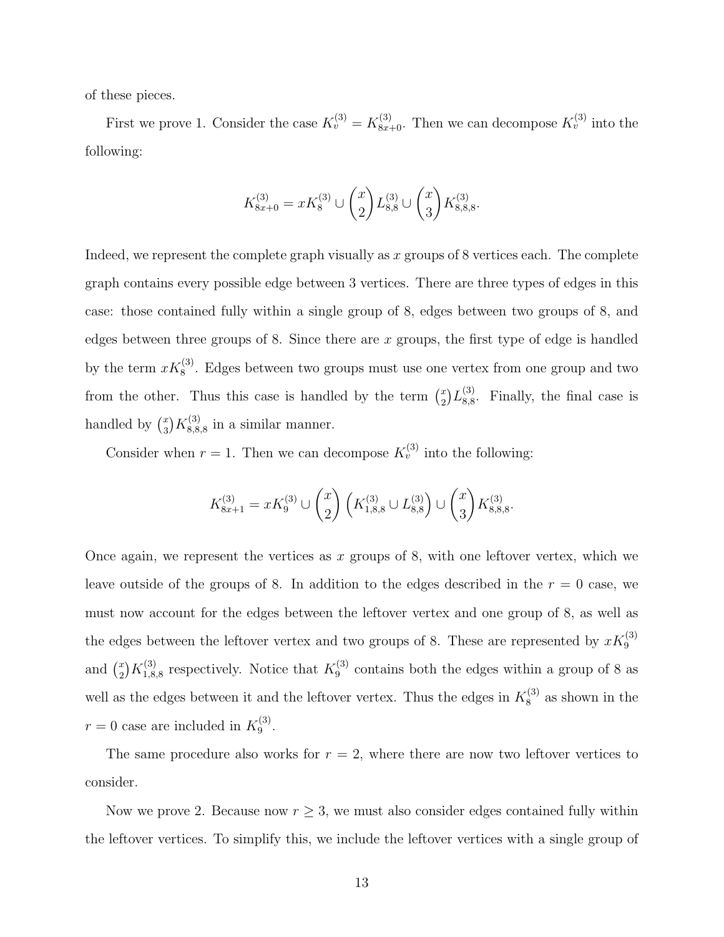of these pieces.

First we prove 1. Consider the case  $K_v^{(3)} = K_{8x+0}^{(3)}$ . Then we can decompose  $K_v^{(3)}$  into the following:

$$
K_{8x+0}^{(3)} = xK_8^{(3)} \cup {x \choose 2} L_{8,8}^{(3)} \cup {x \choose 3} K_{8,8,8}^{(3)}.
$$

Indeed, we represent the complete graph visually as x groups of  $8$  vertices each. The complete graph contains every possible edge between 3 vertices. There are three types of edges in this case: those contained fully within a single group of 8, edges between two groups of 8, and edges between three groups of 8. Since there are  $x$  groups, the first type of edge is handled by the term  $xK_8^{(3)}$ . Edges between two groups must use one vertex from one group and two from the other. Thus this case is handled by the term  $\binom{x}{2}$  $_{2}^{x})L_{8,8}^{(3)}$  $_{8,8}^{(3)}$ . Finally, the final case is handled by  $\binom{x}{3}$  $\binom{x}{3}K_{8,8}^{(3)}$  $\mathcal{L}_{8,8,8}^{(3)}$  in a similar manner.

Consider when  $r = 1$ . Then we can decompose  $K_v^{(3)}$  into the following:

$$
K_{8x+1}^{(3)} = xK_9^{(3)} \cup {x \choose 2} \left(K_{1,8,8}^{(3)} \cup L_{8,8}^{(3)}\right) \cup {x \choose 3} K_{8,8,8}^{(3)}.
$$

Once again, we represent the vertices as x groups of 8, with one leftover vertex, which we leave outside of the groups of 8. In addition to the edges described in the  $r = 0$  case, we must now account for the edges between the leftover vertex and one group of 8, as well as the edges between the leftover vertex and two groups of 8. These are represented by  $xK_9^{(3)}$ and  $\binom{x}{2}$  $\left( \frac{x}{2} \right) K_{1,8}^{(3)}$  $K_1^{(3)}$ , respectively. Notice that  $K_9^{(3)}$  $\frac{1}{9}$  contains both the edges within a group of 8 as well as the edges between it and the leftover vertex. Thus the edges in  $K_8^{(3)}$  $\frac{1}{8}$  as shown in the  $r = 0$  case are included in  $K_9^{(3)}$ 9 .

The same procedure also works for  $r = 2$ , where there are now two leftover vertices to consider.

Now we prove 2. Because now  $r \geq 3$ , we must also consider edges contained fully within the leftover vertices. To simplify this, we include the leftover vertices with a single group of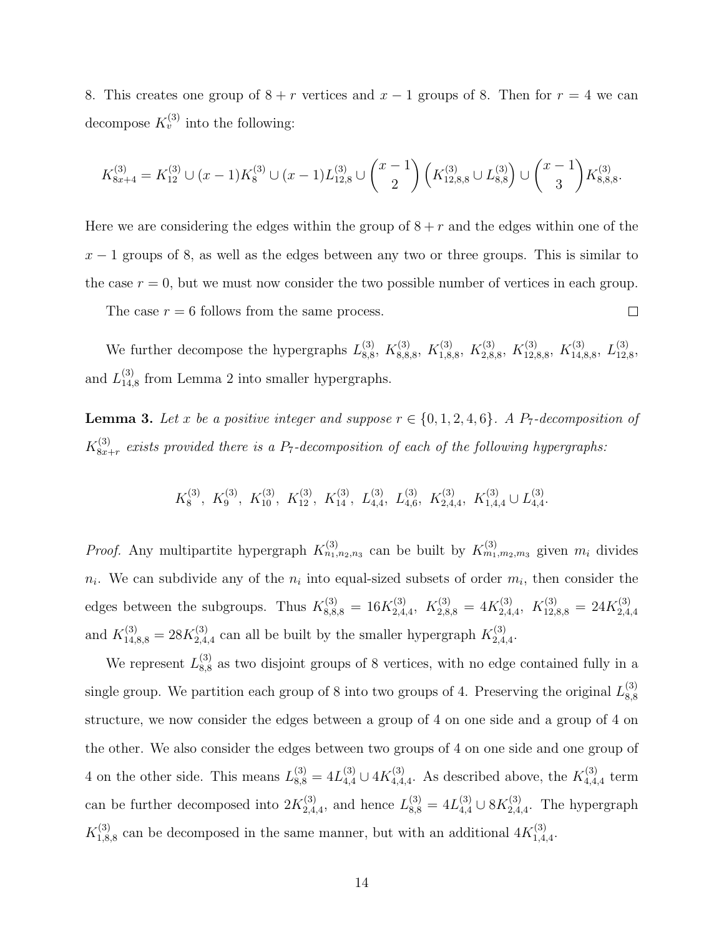8. This creates one group of  $8 + r$  vertices and  $x - 1$  groups of 8. Then for  $r = 4$  we can decompose  $K_v^{(3)}$  into the following:

$$
K_{8x+4}^{(3)} = K_{12}^{(3)} \cup (x-1)K_8^{(3)} \cup (x-1)L_{12,8}^{(3)} \cup {x-1 \choose 2} (K_{12,8,8}^{(3)} \cup L_{8,8}^{(3)}) \cup {x-1 \choose 3} K_{8,8,8}^{(3)}.
$$

Here we are considering the edges within the group of  $8 + r$  and the edges within one of the  $x - 1$  groups of 8, as well as the edges between any two or three groups. This is similar to the case  $r = 0$ , but we must now consider the two possible number of vertices in each group.

The case  $r = 6$  follows from the same process.

We further decompose the hypergraphs  $L_{8,8}^{(3)}$  $_{8,8}^{(3)}, K_{8,8}^{(3)}$  $K_{1,8,8}^{(3)}, K_{1,8,8}^{(3)}$  $K_{2,8}^{(3)}$ ,  $K_{2,8}^{(3)}$  $K_{12,8}^{(3)}$ ,  $K_{12,8}^{(3)}$  $\chi_{12,8,8}^{(3)},\ K_{14,8}^{(3)}$  $\stackrel{(3)}{14,8,8}, \stackrel{(3)}{L_{12,}}$ 12,8 , and  $L_{14}^{(3)}$  $_{14,8}^{(3)}$  from Lemma 2 into smaller hypergraphs.

 $\Box$ 

**Lemma 3.** Let x be a positive integer and suppose  $r \in \{0, 1, 2, 4, 6\}$ . A P<sub>7</sub>-decomposition of  $K_{8x}^{(3)}$  $S_{8x+r}^{(3)}$  exists provided there is a P<sub>7</sub>-decomposition of each of the following hypergraphs:

> $K_8^{(3)}$  $K_8^{(3)}$ ,  $K_9^{(3)}$ ,  $K_{10}^{(3)}$ ,  $K_{12}^{(3)}$ ,  $K_{14}^{(3)}$ ,  $L_{4,4}^{(3)}$ ,  $L_{4,6}^{(3)}$ ,  $K_{2,4,4}^{(3)}$ ,  $K_{1,4,4}^{(3)}$   $\cup L_{4,4}^{(3)}$  $_{4,4}^{(3)}$ .

*Proof.* Any multipartite hypergraph  $K_{n_1,n_2,n_3}^{(3)}$  can be built by  $K_{m_1,m_2,m_3}^{(3)}$  given  $m_i$  divides  $n_i$ . We can subdivide any of the  $n_i$  into equal-sized subsets of order  $m_i$ , then consider the edges between the subgroups. Thus  $K_{8,8,8}^{(3)} = 16K_{2,4}^{(3)}$  $K_{2,4,4}^{(3)}, K_{2,8,8}^{(3)} = 4K_{2,4}^{(3)}$  $K_{12,8,8}^{(3)} = 24K_{2,4}^{(3)}$ 2,4,4 and  $K_{14,8,8}^{(3)} = 28K_{2,4}^{(3)}$  $\chi_{2,4,4}^{(3)}$  can all be built by the smaller hypergraph  $K_{2,4}^{(3)}$  $^{(3)}_{2,4,4}$ .

We represent  $L_{8.8}^{(3)}$  $\frac{8}{8,8}$  as two disjoint groups of 8 vertices, with no edge contained fully in a single group. We partition each group of 8 into two groups of 4. Preserving the original  $L_{8.8}^{(3)}$ 8,8 structure, we now consider the edges between a group of 4 on one side and a group of 4 on the other. We also consider the edges between two groups of 4 on one side and one group of 4 on the other side. This means  $L_{8,8}^{(3)} = 4L_{4,4}^{(3)} \cup 4K_{4,4}^{(3)}$  $_{4,4,4}^{(3)}$ . As described above, the  $K_{4,4}^{(3)}$  $t_{4,4,4}^{(3)}$  term can be further decomposed into  $2K_{2,4}^{(3)}$  $L_{2,4,4}^{(3)}$ , and hence  $L_{8,8}^{(3)} = 4L_{4,4}^{(3)} \cup 8K_{2,4}^{(3)}$  $2,4,4$ . The hypergraph  $K_{1,8}^{(3)}$  $^{(3)}_{1,8,8}$  can be decomposed in the same manner, but with an additional  $4K_{1,4}^{(3)}$  $^{(3)}_{1,4,4}$ .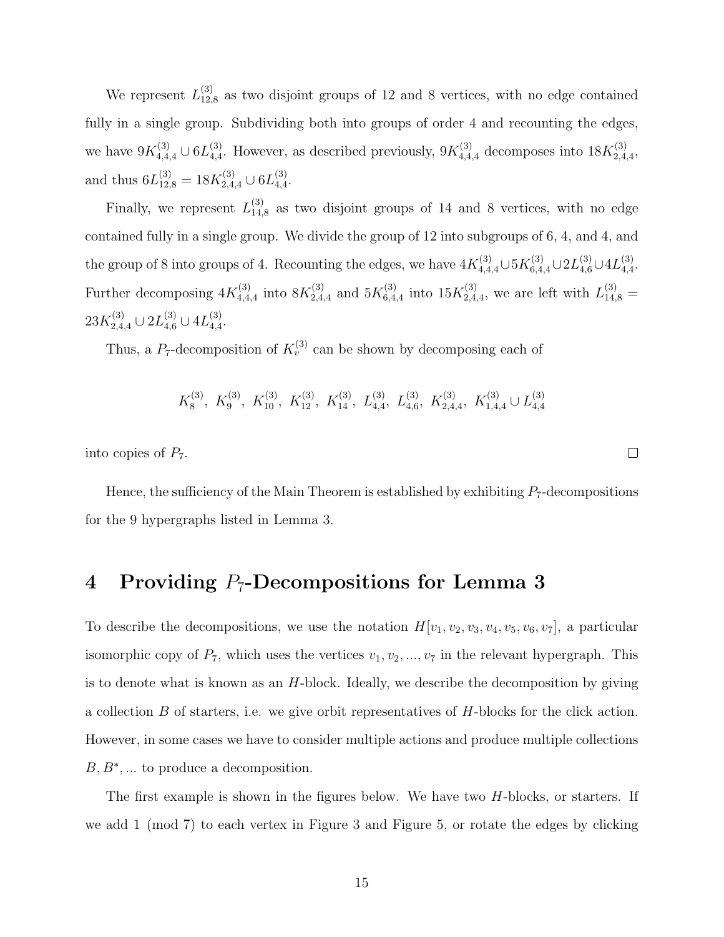We represent  $L_{12}^{(3)}$  $12_{12,8}^{(3)}$  as two disjoint groups of 12 and 8 vertices, with no edge contained fully in a single group. Subdividing both into groups of order 4 and recounting the edges, we have  $9K_{4,4,4}^{(3)} \cup 6L_{4,4}^{(3)}$  $^{(3)}_{4,4}$ . However, as described previously,  $9K_{4,4,4}^{(3)}$  decomposes into  $18K_{2,4}^{(3)}$  $^{(3)}_{2,4,4},$ and thus  $6L_{12,8}^{(3)} = 18K_{2,4,4}^{(3)} \cup 6L_{4,4}^{(3)}$  $_{4,4}^{(3)}$ .

Finally, we represent  $L_{14}^{(3)}$  $_{14,8}^{(3)}$  as two disjoint groups of 14 and 8 vertices, with no edge contained fully in a single group. We divide the group of 12 into subgroups of 6, 4, and 4, and the group of 8 into groups of 4. Recounting the edges, we have  $4K_{4,4,4}^{(3)}\cup 5K_{6,4,4}^{(3)}\cup 2L_{4,6}^{(3)}\cup 4L_{4,4}^{(3)}$ 4,4 . Further decomposing  $4K_{4,4}^{(3)}$  $_{4,4,4}^{(3)}$  into  $8K_{2,4}^{(3)}$  $^{(3)}_{2,4,4}$  and  $5K^{(3)}_{6,4}$  $^{(3)}_{6,4,4}$  into  $15K^{(3)}_{2,4}$  $L_{2,4,4}^{(3)}$ , we are left with  $L_{14,8}^{(3)} =$  $23K_{2,4,4}^{(3)}\cup2L_{4,6}^{(3)}\cup4L_{4,4}^{(3)}$  $_{4,4}^{(3)}.$ 

Thus, a  $P_7$ -decomposition of  $K_v^{(3)}$  can be shown by decomposing each of

$$
K_8^{(3)}
$$
,  $K_9^{(3)}$ ,  $K_{10}^{(3)}$ ,  $K_{12}^{(3)}$ ,  $K_{14}^{(3)}$ ,  $L_{4,4}^{(3)}$ ,  $L_{4,6}^{(3)}$ ,  $K_{2,4,4}^{(3)}$ ,  $K_{1,4,4}^{(3)} \cup L_{4,4}^{(3)}$ 

into copies of  $P_7$ .

Hence, the sufficiency of the Main Theorem is established by exhibiting  $P_7$ -decompositions for the 9 hypergraphs listed in Lemma 3.

## 4 Providing  $P_7$ -Decompositions for Lemma 3

To describe the decompositions, we use the notation  $H[v_1, v_2, v_3, v_4, v_5, v_6, v_7]$ , a particular isomorphic copy of  $P_7$ , which uses the vertices  $v_1, v_2, ..., v_7$  in the relevant hypergraph. This is to denote what is known as an H-block. Ideally, we describe the decomposition by giving a collection  $B$  of starters, i.e. we give orbit representatives of  $H$ -blocks for the click action. However, in some cases we have to consider multiple actions and produce multiple collections  $B, B^*, \dots$  to produce a decomposition.

The first example is shown in the figures below. We have two  $H$ -blocks, or starters. If we add 1 (mod 7) to each vertex in Figure 3 and Figure 5, or rotate the edges by clicking

 $\Box$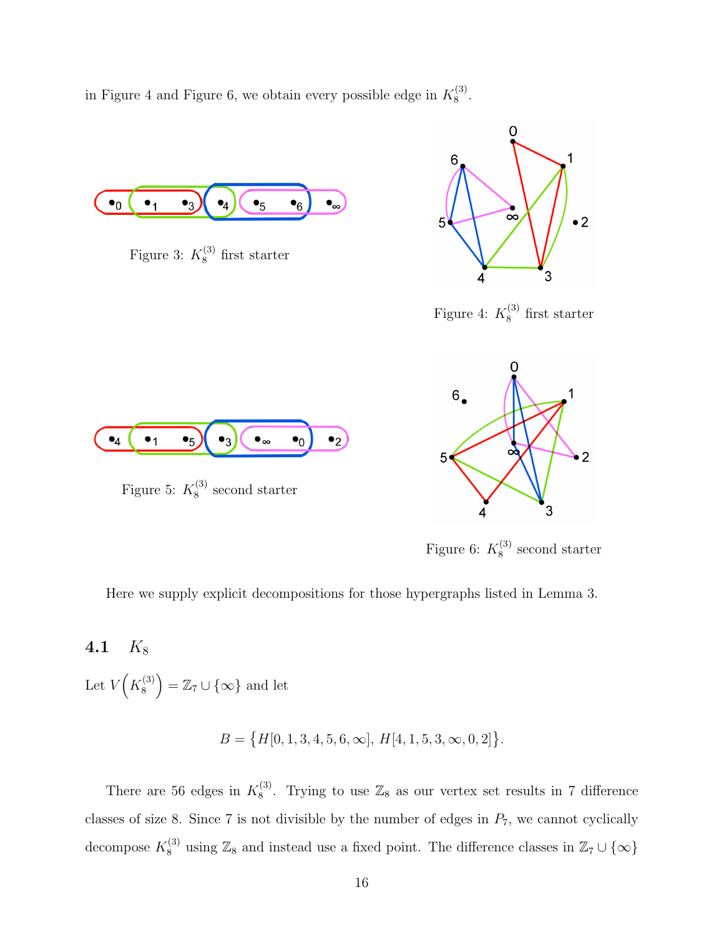in Figure 4 and Figure 6, we obtain every possible edge in  $K_8^{(3)}$  $\frac{1}{8}$ .



Figure 6:  $K_8^{(3)}$  $\frac{8}{8}$  second starter

0

Here we supply explicit decompositions for those hypergraphs listed in Lemma 3.

4.1  $K_8$ 

Let  $V(K_8^{(3)}$  $\binom{3}{8}$  = Z<sub>7</sub> ∪ {∞} and let

 $B = \{H[0, 1, 3, 4, 5, 6, \infty], H[4, 1, 5, 3, \infty, 0, 2]\}.$ 

There are 56 edges in  $K_8^{(3)}$  $\frac{1}{8}$ . Trying to use  $\mathbb{Z}_8$  as our vertex set results in 7 difference classes of size 8. Since 7 is not divisible by the number of edges in  $P_7$ , we cannot cyclically decompose  $K_8^{(3)}$  using  $\mathbb{Z}_8$  and instead use a fixed point. The difference classes in  $\mathbb{Z}_7 \cup \{\infty\}$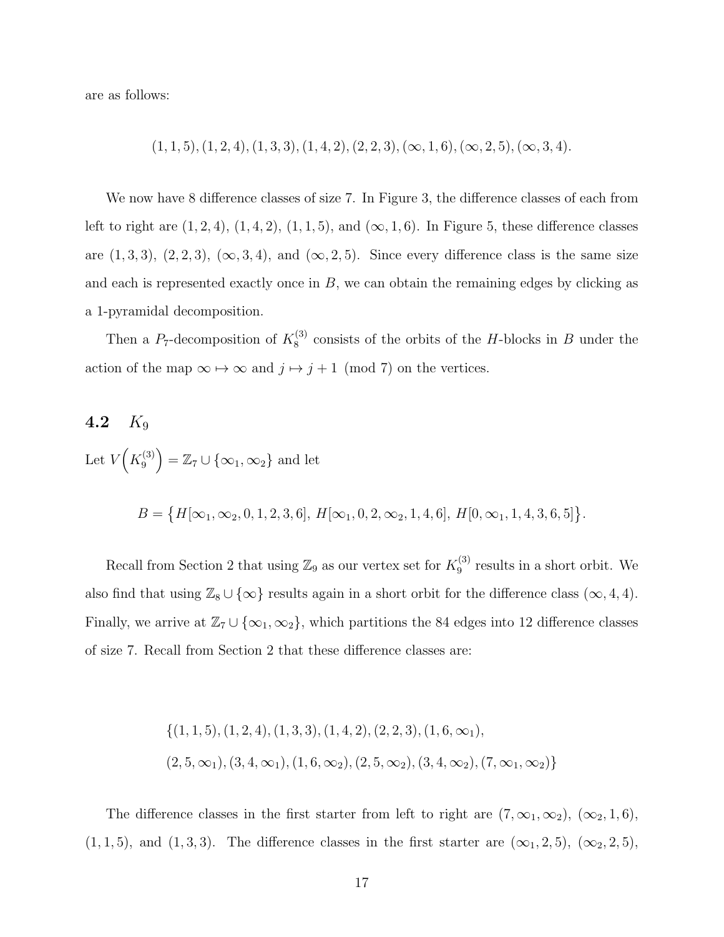are as follows:

$$
(1, 1, 5), (1, 2, 4), (1, 3, 3), (1, 4, 2), (2, 2, 3), (\infty, 1, 6), (\infty, 2, 5), (\infty, 3, 4).
$$

We now have 8 difference classes of size 7. In Figure 3, the difference classes of each from left to right are  $(1, 2, 4)$ ,  $(1, 4, 2)$ ,  $(1, 1, 5)$ , and  $(\infty, 1, 6)$ . In Figure 5, these difference classes are  $(1, 3, 3)$ ,  $(2, 2, 3)$ ,  $(\infty, 3, 4)$ , and  $(\infty, 2, 5)$ . Since every difference class is the same size and each is represented exactly once in  $B$ , we can obtain the remaining edges by clicking as a 1-pyramidal decomposition.

Then a  $P_7$ -decomposition of  $K_8^{(3)}$  $8^{(3)}$  consists of the orbits of the H-blocks in B under the action of the map  $\infty \mapsto \infty$  and  $j \mapsto j + 1 \pmod{7}$  on the vertices.

## 4.2  $K_9$ Let  $V(K_9^{(3)}$  $\mathcal{Z}_9^{(3)}$  =  $\mathbb{Z}_7 \cup \{ \infty_1, \infty_2 \}$  and let

 $B = \{H[\infty_1, \infty_2, 0, 1, 2, 3, 6], H[\infty_1, 0, 2, \infty_2, 1, 4, 6], H[0, \infty_1, 1, 4, 3, 6, 5]\}.$ 

Recall from Section 2 that using  $\mathbb{Z}_9$  as our vertex set for  $K_9^{(3)}$  $_9^{(3)}$  results in a short orbit. We also find that using  $\mathbb{Z}_8 \cup \{\infty\}$  results again in a short orbit for the difference class  $(\infty, 4, 4)$ . Finally, we arrive at  $\mathbb{Z}_7 \cup \{\infty_1, \infty_2\}$ , which partitions the 84 edges into 12 difference classes of size 7. Recall from Section 2 that these difference classes are:

$$
\{(1, 1, 5), (1, 2, 4), (1, 3, 3), (1, 4, 2), (2, 2, 3), (1, 6, \infty_1),
$$
  

$$
(2, 5, \infty_1), (3, 4, \infty_1), (1, 6, \infty_2), (2, 5, \infty_2), (3, 4, \infty_2), (7, \infty_1, \infty_2)\}\
$$

The difference classes in the first starter from left to right are  $(7, \infty_1, \infty_2)$ ,  $(\infty_2, 1, 6)$ ,  $(1, 1, 5)$ , and  $(1, 3, 3)$ . The difference classes in the first starter are  $(\infty_1, 2, 5)$ ,  $(\infty_2, 2, 5)$ ,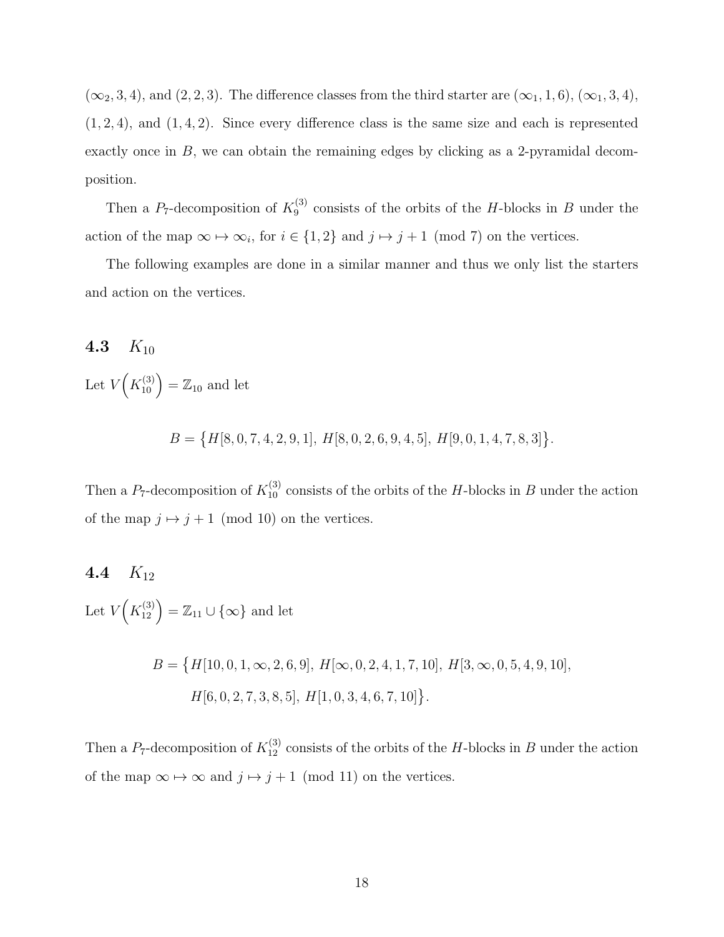$(\infty_2, 3, 4)$ , and  $(2, 2, 3)$ . The difference classes from the third starter are  $(\infty_1, 1, 6)$ ,  $(\infty_1, 3, 4)$ ,  $(1, 2, 4)$ , and  $(1, 4, 2)$ . Since every difference class is the same size and each is represented exactly once in  $B$ , we can obtain the remaining edges by clicking as a 2-pyramidal decomposition.

Then a  $P_7$ -decomposition of  $K_9^{(3)}$  $^{(3)}_9$  consists of the orbits of the H-blocks in B under the action of the map  $\infty \mapsto \infty_i$ , for  $i \in \{1,2\}$  and  $j \mapsto j+1 \pmod{7}$  on the vertices.

The following examples are done in a similar manner and thus we only list the starters and action on the vertices.

4.3  $K_{10}$ Let  $V(K_{10}^{(3)}) = \mathbb{Z}_{10}$  and let

 $B = \{H[8, 0, 7, 4, 2, 9, 1], H[8, 0, 2, 6, 9, 4, 5], H[9, 0, 1, 4, 7, 8, 3]\}.$ 

Then a  $P_7$ -decomposition of  $K_{10}^{(3)}$  consists of the orbits of the H-blocks in B under the action of the map  $j \mapsto j + 1 \pmod{10}$  on the vertices.

#### 4.4  $K_{12}$

Let  $V(K_{12}^{(3)}) = \mathbb{Z}_{11} \cup {\infty}$  and let

$$
B = \{H[10, 0, 1, \infty, 2, 6, 9], H[\infty, 0, 2, 4, 1, 7, 10], H[3, \infty, 0, 5, 4, 9, 10],
$$
  

$$
H[6, 0, 2, 7, 3, 8, 5], H[1, 0, 3, 4, 6, 7, 10]\}.
$$

Then a  $P_7$ -decomposition of  $K_{12}^{(3)}$  consists of the orbits of the H-blocks in B under the action of the map  $\infty \mapsto \infty$  and  $j \mapsto j + 1 \pmod{11}$  on the vertices.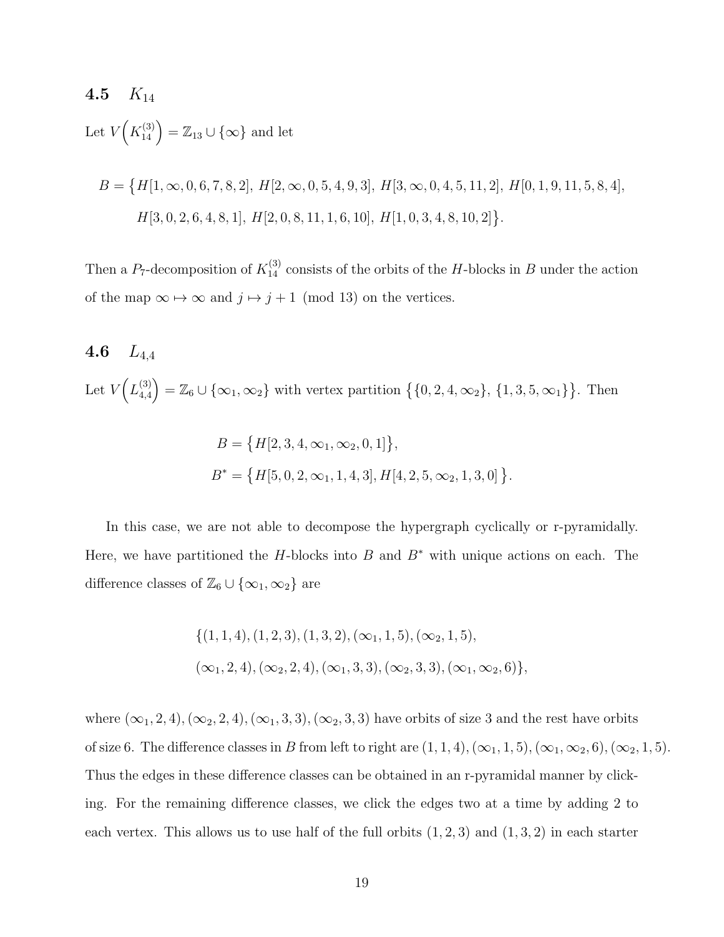#### 4.5  $K_{14}$

Let  $V(K_{14}^{(3)}) = \mathbb{Z}_{13} \cup {\infty}$  and let

$$
B = \{H[1, \infty, 0, 6, 7, 8, 2], H[2, \infty, 0, 5, 4, 9, 3], H[3, \infty, 0, 4, 5, 11, 2], H[0, 1, 9, 11, 5, 8, 4],
$$
  

$$
H[3, 0, 2, 6, 4, 8, 1], H[2, 0, 8, 11, 1, 6, 10], H[1, 0, 3, 4, 8, 10, 2]\}.
$$

Then a  $P_7$ -decomposition of  $K_{14}^{(3)}$  consists of the orbits of the H-blocks in B under the action of the map  $\infty \mapsto \infty$  and  $j \mapsto j+1 \pmod{13}$  on the vertices.

## 4.6  $L_{4.4}$ Let  $V(L_{4.4}^{(3)}$  $\mathbb{Z}_{4,4}^{(3)} = \mathbb{Z}_6 \cup \{\infty_1, \infty_2\}$  with vertex partition  $\{0, 2, 4, \infty_2\}, \{1, 3, 5, \infty_1\}$ . Then

$$
B = \{H[2, 3, 4, \infty_1, \infty_2, 0, 1]\},\
$$
  

$$
B^* = \{H[5, 0, 2, \infty_1, 1, 4, 3], H[4, 2, 5, \infty_2, 1, 3, 0]\}
$$

.

In this case, we are not able to decompose the hypergraph cyclically or r-pyramidally. Here, we have partitioned the H-blocks into B and  $B^*$  with unique actions on each. The difference classes of  $\mathbb{Z}_6 \cup {\infty_1, \infty_2}$  are

$$
\{(1, 1, 4), (1, 2, 3), (1, 3, 2), (\infty_1, 1, 5), (\infty_2, 1, 5), (\infty_1, 2, 4), (\infty_2, 2, 4), (\infty_1, 3, 3), (\infty_2, 3, 3), (\infty_1, \infty_2, 6)\},
$$

where  $(\infty_1, 2, 4)$ ,  $(\infty_2, 2, 4)$ ,  $(\infty_1, 3, 3)$ ,  $(\infty_2, 3, 3)$  have orbits of size 3 and the rest have orbits of size 6. The difference classes in B from left to right are  $(1, 1, 4)$ ,  $(\infty_1, 1, 5)$ ,  $(\infty_1, \infty_2, 6)$ ,  $(\infty_2, 1, 5)$ . Thus the edges in these difference classes can be obtained in an r-pyramidal manner by clicking. For the remaining difference classes, we click the edges two at a time by adding 2 to each vertex. This allows us to use half of the full orbits  $(1, 2, 3)$  and  $(1, 3, 2)$  in each starter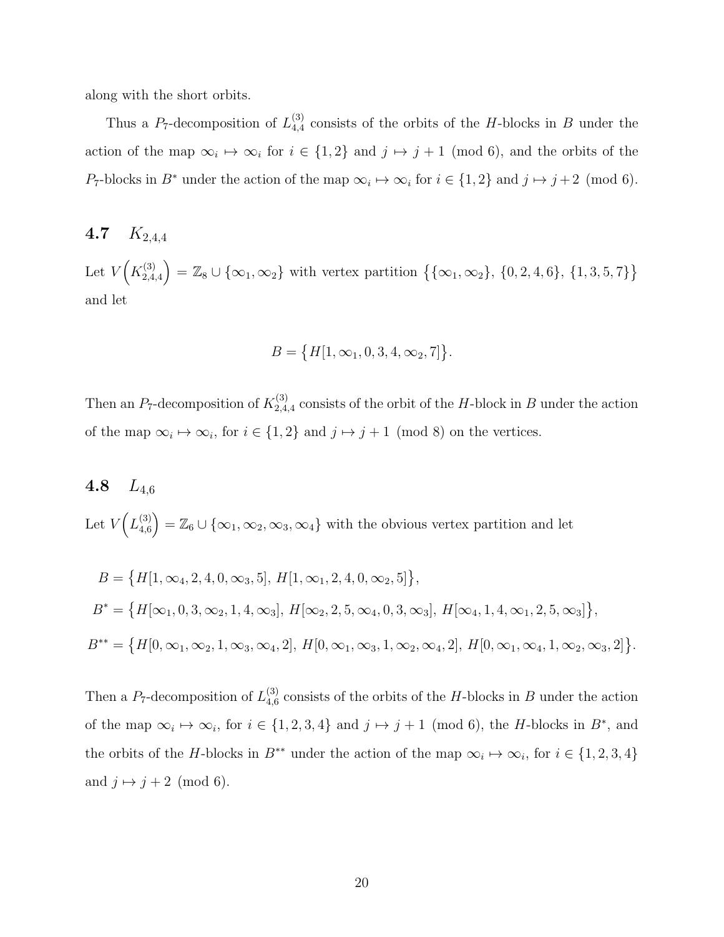along with the short orbits.

Thus a  $P_7$ -decomposition of  $L_{4,4}^{(3)}$  $_{4,4}^{(3)}$  consists of the orbits of the H-blocks in B under the action of the map  $\infty_i \mapsto \infty_i$  for  $i \in \{1,2\}$  and  $j \mapsto j+1$  (mod 6), and the orbits of the P<sub>7</sub>-blocks in B<sup>\*</sup> under the action of the map  $\infty_i \mapsto \infty_i$  for  $i \in \{1,2\}$  and  $j \mapsto j+2 \pmod{6}$ .

### 4.7  $K_{2,4,4}$

Let  $V(K_{2.4}^{(3)}$  $\mathcal{L}_{2,4,4}^{(3)}$  =  $\mathbb{Z}_8 \cup {\infty_1, \infty_2}$  with vertex partition  ${\{\infty_1, \infty_2\}, \{0, 2, 4, 6\}, \{1, 3, 5, 7\}\}$ and let

$$
B = \{H[1, \infty_1, 0, 3, 4, \infty_2, 7]\}.
$$

Then an  $P_7$ -decomposition of  $K_{2,4}^{(3)}$  $2,4,4$  consists of the orbit of the H-block in B under the action of the map  $\infty_i \mapsto \infty_i$ , for  $i \in \{1,2\}$  and  $j \mapsto j+1 \pmod{8}$  on the vertices.

## 4.8  $L_{4,6}$ Let  $V(L_{4.6}^{(3)}$  $\mathcal{L}_{4,6}^{(3)}$  =  $\mathbb{Z}_6 \cup \{ \infty_1, \infty_2, \infty_3, \infty_4 \}$  with the obvious vertex partition and let

$$
B = \{H[1, \infty_4, 2, 4, 0, \infty_3, 5], H[1, \infty_1, 2, 4, 0, \infty_2, 5]\},
$$
  
\n
$$
B^* = \{H[\infty_1, 0, 3, \infty_2, 1, 4, \infty_3], H[\infty_2, 2, 5, \infty_4, 0, 3, \infty_3], H[\infty_4, 1, 4, \infty_1, 2, 5, \infty_3]\},
$$
  
\n
$$
B^{**} = \{H[0, \infty_1, \infty_2, 1, \infty_3, \infty_4, 2], H[0, \infty_1, \infty_3, 1, \infty_2, \infty_4, 2], H[0, \infty_1, \infty_4, 1, \infty_2, \infty_3, 2]\}.
$$

Then a  $P_7$ -decomposition of  $L_{4,6}^{(3)}$  $_{4,6}^{(3)}$  consists of the orbits of the H-blocks in B under the action of the map  $\infty_i \mapsto \infty_i$ , for  $i \in \{1, 2, 3, 4\}$  and  $j \mapsto j+1$  (mod 6), the *H*-blocks in  $B^*$ , and the orbits of the H-blocks in  $B^{**}$  under the action of the map  $\infty_i \mapsto \infty_i$ , for  $i \in \{1, 2, 3, 4\}$ and  $j \mapsto j + 2 \pmod{6}$ .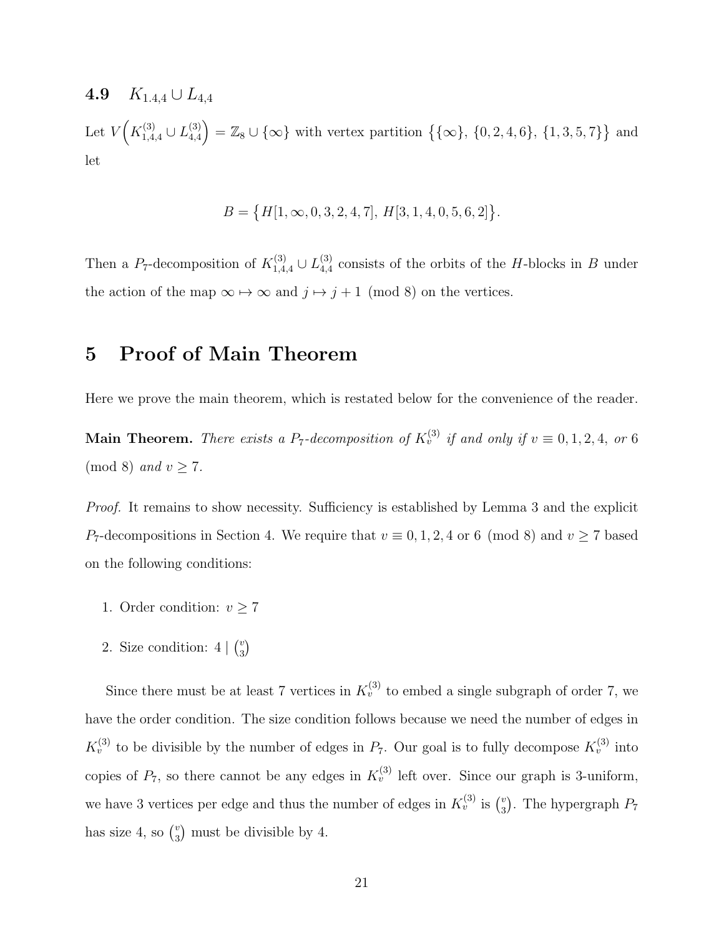4.9  $K_{1,4,4} \cup L_{4,4}$ 

Let  $V(K_{1,4,4}^{(3)} \cup L_{4,4}^{(3)})$  $\begin{bmatrix} (3) \\ 4,4 \end{bmatrix} = \mathbb{Z}_8 \cup \{ \infty \}$  with vertex partition  $\{ \{ \infty \}, \{ 0, 2, 4, 6 \}, \{ 1, 3, 5, 7 \} \}$  and let

$$
B = \{H[1, \infty, 0, 3, 2, 4, 7], H[3, 1, 4, 0, 5, 6, 2]\}.
$$

Then a P<sub>7</sub>-decomposition of  $K_{1,4,4}^{(3)} \cup L_{4,4}^{(3)}$  $_{4,4}^{(3)}$  consists of the orbits of the H-blocks in B under the action of the map  $\infty \mapsto \infty$  and  $j \mapsto j + 1 \pmod{8}$  on the vertices.

## 5 Proof of Main Theorem

Here we prove the main theorem, which is restated below for the convenience of the reader.

**Main Theorem.** There exists a P<sub>7</sub>-decomposition of  $K_v^{(3)}$  if and only if  $v \equiv 0, 1, 2, 4$ , or 6 (mod 8) and  $v \ge 7$ .

Proof. It remains to show necessity. Sufficiency is established by Lemma 3 and the explicit P<sub>7</sub>-decompositions in Section 4. We require that  $v \equiv 0, 1, 2, 4$  or 6 (mod 8) and  $v \ge 7$  based on the following conditions:

- 1. Order condition:  $v \geq 7$
- 2. Size condition:  $4 \mid {v \choose 3}$  $\binom{v}{3}$

Since there must be at least 7 vertices in  $K_v^{(3)}$  to embed a single subgraph of order 7, we have the order condition. The size condition follows because we need the number of edges in  $K_v^{(3)}$  to be divisible by the number of edges in  $P_7$ . Our goal is to fully decompose  $K_v^{(3)}$  into copies of  $P_7$ , so there cannot be any edges in  $K_v^{(3)}$  left over. Since our graph is 3-uniform, we have 3 vertices per edge and thus the number of edges in  $K_v^{(3)}$  is  $\binom{v}{3}$  $_3^v$ ). The hypergraph  $P_7$ has size 4, so  $\binom{v}{3}$  $\binom{v}{3}$  must be divisible by 4.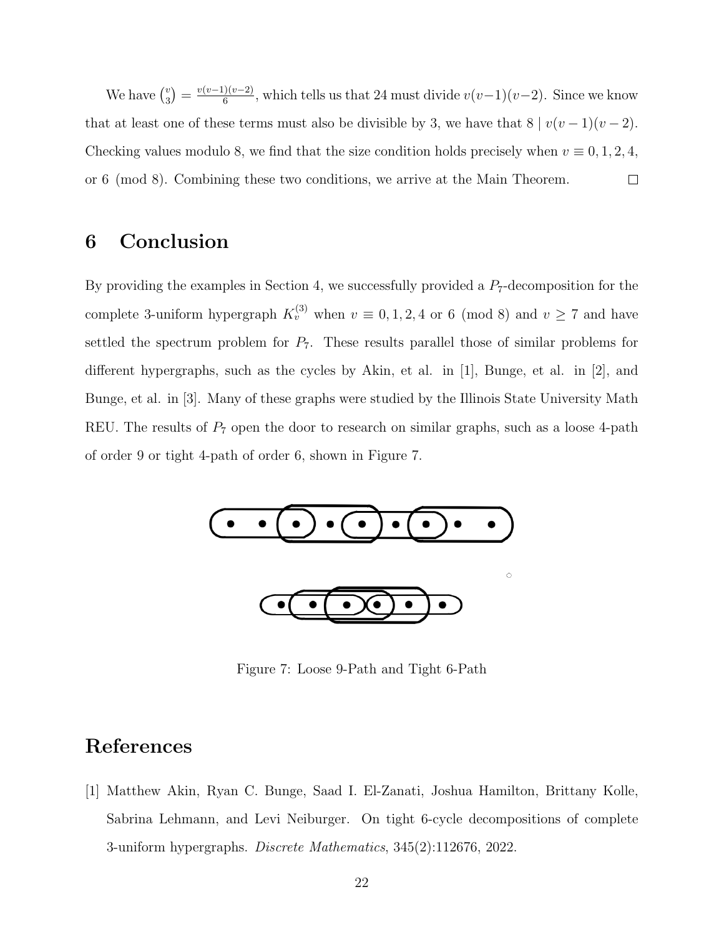We have  $\binom{v}{3}$  $\binom{v}{3} = \frac{v(v-1)(v-2)}{6}$  $\frac{f(v-2)}{6}$ , which tells us that 24 must divide  $v(v-1)(v-2)$ . Since we know that at least one of these terms must also be divisible by 3, we have that  $8 | v(v-1)(v-2)$ . Checking values modulo 8, we find that the size condition holds precisely when  $v \equiv 0, 1, 2, 4$ , or 6 (mod 8). Combining these two conditions, we arrive at the Main Theorem.  $\Box$ 

## 6 Conclusion

By providing the examples in Section 4, we successfully provided a  $P_7$ -decomposition for the complete 3-uniform hypergraph  $K_v^{(3)}$  when  $v \equiv 0, 1, 2, 4$  or 6 (mod 8) and  $v \ge 7$  and have settled the spectrum problem for  $P_7$ . These results parallel those of similar problems for different hypergraphs, such as the cycles by Akin, et al. in [1], Bunge, et al. in [2], and Bunge, et al. in [3]. Many of these graphs were studied by the Illinois State University Math REU. The results of  $P_7$  open the door to research on similar graphs, such as a loose 4-path of order 9 or tight 4-path of order 6, shown in Figure 7.



Figure 7: Loose 9-Path and Tight 6-Path

## References

[1] Matthew Akin, Ryan C. Bunge, Saad I. El-Zanati, Joshua Hamilton, Brittany Kolle, Sabrina Lehmann, and Levi Neiburger. On tight 6-cycle decompositions of complete 3-uniform hypergraphs. Discrete Mathematics, 345(2):112676, 2022.